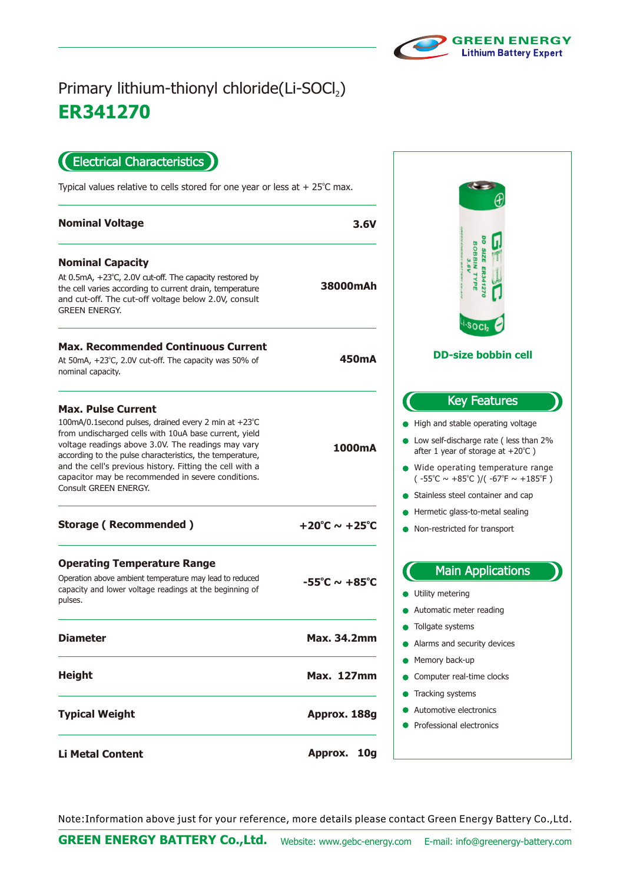

## **ER 341270** Primary lithium-thionyl chloride(Li-SOCl2)

Electrical Characteristics

Typical values relative to cells stored for one year or less at  $+25^{\circ}$ C max.

| 3.6V                               | <b>Nominal Voltage</b>                                                                                                                                                                                                                                                                                                                                                      |
|------------------------------------|-----------------------------------------------------------------------------------------------------------------------------------------------------------------------------------------------------------------------------------------------------------------------------------------------------------------------------------------------------------------------------|
|                                    | <b>Nominal Capacity</b>                                                                                                                                                                                                                                                                                                                                                     |
| 38000mAh                           | At 0.5mA, +23°C, 2.0V cut-off. The capacity restored by<br>the cell varies according to current drain, temperature<br>and cut-off. The cut-off voltage below 2.0V, consult<br><b>GREEN ENERGY.</b>                                                                                                                                                                          |
|                                    | <b>Max. Recommended Continuous Current</b>                                                                                                                                                                                                                                                                                                                                  |
| 450mA                              | At 50mA, +23°C, 2.0V cut-off. The capacity was 50% of<br>nominal capacity.                                                                                                                                                                                                                                                                                                  |
|                                    | <b>Max. Pulse Current</b>                                                                                                                                                                                                                                                                                                                                                   |
| 1000mA                             | 100mA/0.1 second pulses, drained every 2 min at +23°C<br>from undischarged cells with 10uA base current, yield<br>voltage readings above 3.0V. The readings may vary<br>according to the pulse characteristics, the temperature,<br>and the cell's previous history. Fitting the cell with a<br>capacitor may be recommended in severe conditions.<br>Consult GREEN ENERGY. |
| $+20^{\circ}$ C ~ $+25^{\circ}$ C  | <b>Storage (Recommended)</b>                                                                                                                                                                                                                                                                                                                                                |
|                                    | <b>Operating Temperature Range</b>                                                                                                                                                                                                                                                                                                                                          |
| $-55^{\circ}$ C ~ +85 $^{\circ}$ C | Operation above ambient temperature may lead to reduced<br>capacity and lower voltage readings at the beginning of<br>pulses.                                                                                                                                                                                                                                               |
| <b>Max. 34.2mm</b>                 | <b>Diameter</b>                                                                                                                                                                                                                                                                                                                                                             |
| <b>Max. 127mm</b>                  | <b>Height</b>                                                                                                                                                                                                                                                                                                                                                               |
| Approx. 188g                       | <b>Typical Weight</b>                                                                                                                                                                                                                                                                                                                                                       |
| Approx.<br>10 <sub>g</sub>         | <b>Li Metal Content</b>                                                                                                                                                                                                                                                                                                                                                     |



Note:Information above just for your reference, more details please contact Green Energy Battery Co.,Ltd.